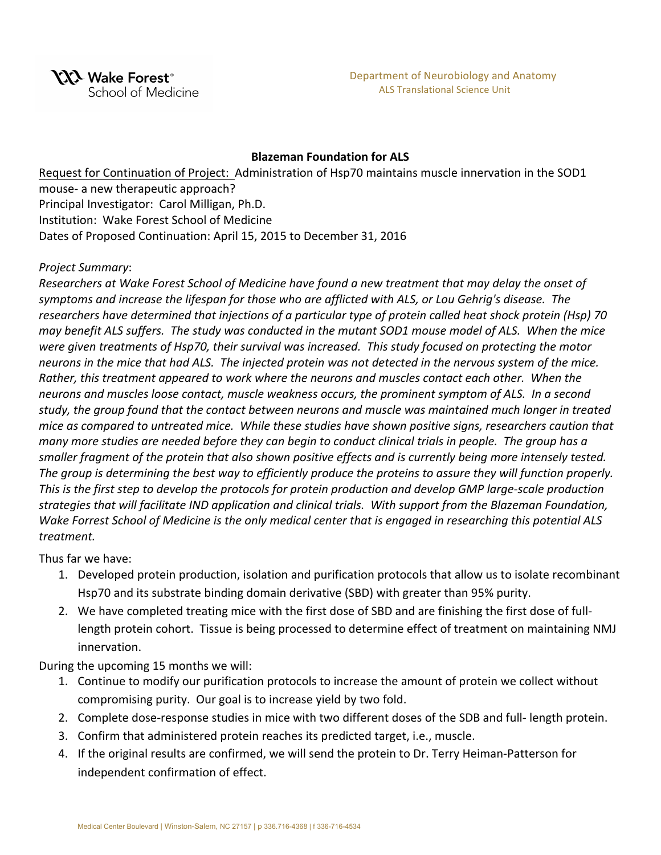#### **Blazeman Foundation for ALS**

Request for Continuation of Project: Administration of Hsp70 maintains muscle innervation in the SOD1 mouse- a new therapeutic approach? Principal Investigator: Carol Milligan, Ph.D. Institution: Wake Forest School of Medicine Dates of Proposed Continuation: April 15, 2015 to December 31, 2016

## *Project Summary*:

*Researchers at Wake Forest School of Medicine have found a new treatment that may delay the onset of* symptoms and increase the lifespan for those who are afflicted with ALS, or Lou Gehrig's disease. The researchers have determined that injections of a particular type of protein called heat shock protein (Hsp) 70 *may* benefit ALS suffers. The study was conducted in the mutant SOD1 mouse model of ALS. When the mice were given treatments of Hsp70, their survival was increased. This study focused on protecting the motor *neurons* in the mice that had ALS. The injected protein was not detected in the nervous system of the mice. *Rather, this treatment appeared to work where the neurons and muscles contact each other.* When the neurons and muscles loose contact, muscle weakness occurs, the prominent symptom of ALS. In a second study, the group found that the contact between neurons and muscle was maintained much longer in treated *mice* as compared to untreated mice. While these studies have shown positive signs, researchers caution that *many* more studies are needed before they can begin to conduct clinical trials in people. The group has a smaller fragment of the protein that also shown positive effects and is currently being more intensely tested. The group is determining the best way to efficiently produce the proteins to assure they will function properly. This is the first step to develop the protocols for protein production and develop GMP large-scale production strategies that will facilitate IND application and clinical trials. With support from the Blazeman Foundation, *Wake Forrest School of Medicine is the only medical center that is engaged in researching this potential ALS treatment.*

Thus far we have:

- 1. Developed protein production, isolation and purification protocols that allow us to isolate recombinant Hsp70 and its substrate binding domain derivative (SBD) with greater than 95% purity.
- 2. We have completed treating mice with the first dose of SBD and are finishing the first dose of fulllength protein cohort. Tissue is being processed to determine effect of treatment on maintaining NMJ innervation.

During the upcoming 15 months we will:

- 1. Continue to modify our purification protocols to increase the amount of protein we collect without compromising purity. Our goal is to increase yield by two fold.
- 2. Complete dose-response studies in mice with two different doses of the SDB and full- length protein.
- 3. Confirm that administered protein reaches its predicted target, i.e., muscle.
- 4. If the original results are confirmed, we will send the protein to Dr. Terry Heiman-Patterson for independent confirmation of effect.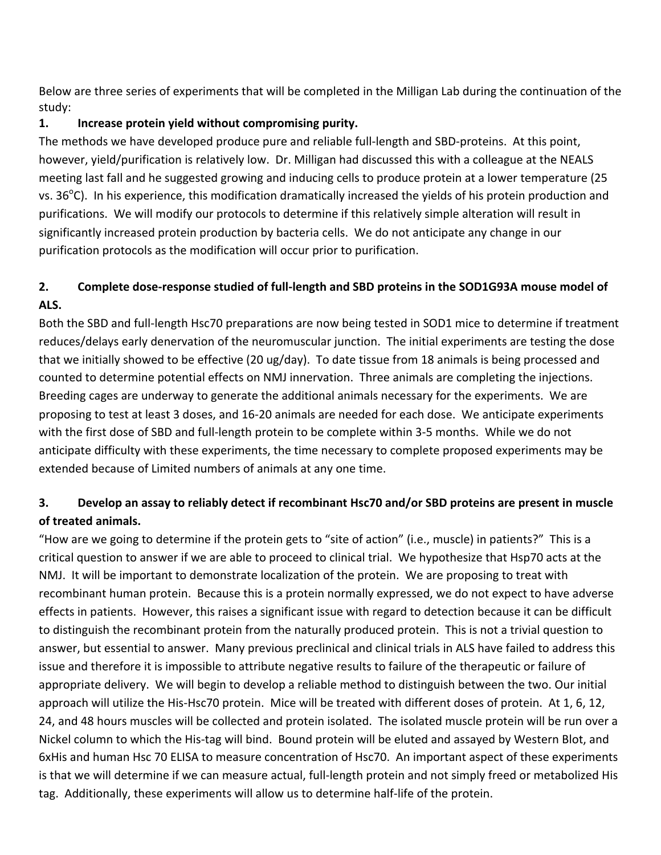Below are three series of experiments that will be completed in the Milligan Lab during the continuation of the study:

# **1.** Increase protein yield without compromising purity.

The methods we have developed produce pure and reliable full-length and SBD-proteins. At this point, however, yield/purification is relatively low. Dr. Milligan had discussed this with a colleague at the NEALS meeting last fall and he suggested growing and inducing cells to produce protein at a lower temperature (25 vs. 36 $^{\circ}$ C). In his experience, this modification dramatically increased the yields of his protein production and purifications. We will modify our protocols to determine if this relatively simple alteration will result in significantly increased protein production by bacteria cells. We do not anticipate any change in our purification protocols as the modification will occur prior to purification.

# 2. Complete dose-response studied of full-length and SBD proteins in the SOD1G93A mouse model of ALS.

Both the SBD and full-length Hsc70 preparations are now being tested in SOD1 mice to determine if treatment reduces/delays early denervation of the neuromuscular junction. The initial experiments are testing the dose that we initially showed to be effective (20 ug/day). To date tissue from 18 animals is being processed and counted to determine potential effects on NMJ innervation. Three animals are completing the injections. Breeding cages are underway to generate the additional animals necessary for the experiments. We are proposing to test at least 3 doses, and 16-20 animals are needed for each dose. We anticipate experiments with the first dose of SBD and full-length protein to be complete within 3-5 months. While we do not anticipate difficulty with these experiments, the time necessary to complete proposed experiments may be extended because of Limited numbers of animals at any one time.

# **3.** Develop an assay to reliably detect if recombinant Hsc70 and/or SBD proteins are present in muscle **of treated animals.**

"How are we going to determine if the protein gets to "site of action" (i.e., muscle) in patients?" This is a critical question to answer if we are able to proceed to clinical trial. We hypothesize that Hsp70 acts at the NMJ. It will be important to demonstrate localization of the protein. We are proposing to treat with recombinant human protein. Because this is a protein normally expressed, we do not expect to have adverse effects in patients. However, this raises a significant issue with regard to detection because it can be difficult to distinguish the recombinant protein from the naturally produced protein. This is not a trivial question to answer, but essential to answer. Many previous preclinical and clinical trials in ALS have failed to address this issue and therefore it is impossible to attribute negative results to failure of the therapeutic or failure of appropriate delivery. We will begin to develop a reliable method to distinguish between the two. Our initial approach will utilize the His-Hsc70 protein. Mice will be treated with different doses of protein. At 1, 6, 12, 24, and 48 hours muscles will be collected and protein isolated. The isolated muscle protein will be run over a Nickel column to which the His-tag will bind. Bound protein will be eluted and assayed by Western Blot, and 6xHis and human Hsc 70 ELISA to measure concentration of Hsc70. An important aspect of these experiments is that we will determine if we can measure actual, full-length protein and not simply freed or metabolized His tag. Additionally, these experiments will allow us to determine half-life of the protein.